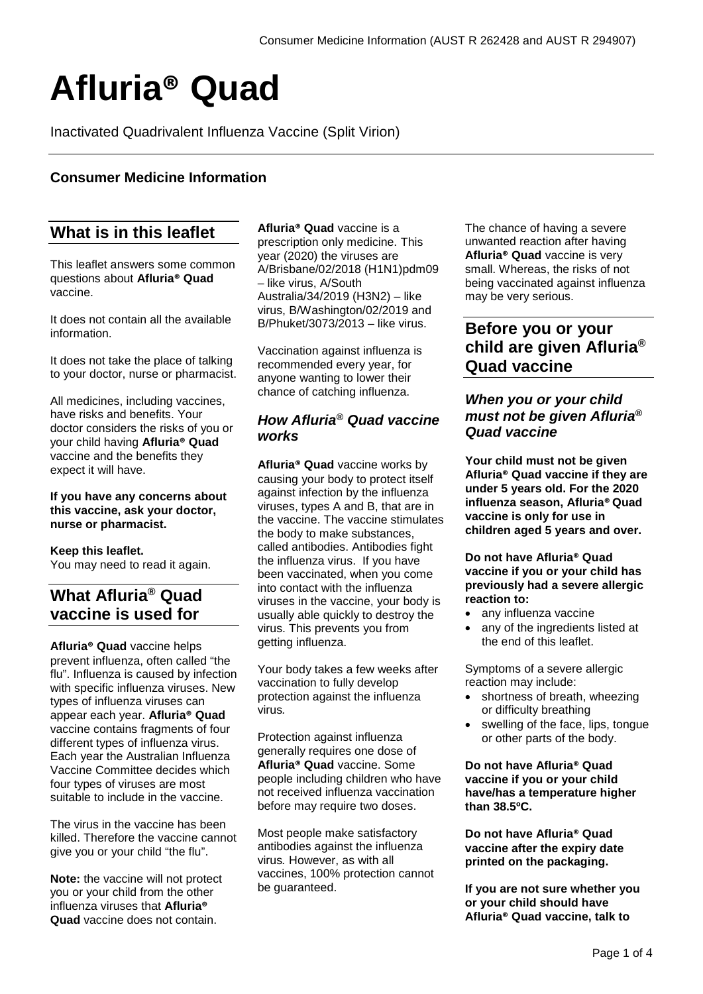# **Afluria® Quad**

Inactivated Quadrivalent Influenza Vaccine (Split Virion)

## **Consumer Medicine Information**

# **What is in this leaflet**

This leaflet answers some common questions about **Afluria® Quad**  vaccine.

It does not contain all the available information.

It does not take the place of talking to your doctor, nurse or pharmacist.

All medicines, including vaccines, have risks and benefits. Your doctor considers the risks of you or your child having **Afluria® Quad**  vaccine and the benefits they expect it will have.

#### **If you have any concerns about this vaccine, ask your doctor, nurse or pharmacist.**

# **Keep this leaflet.**

You may need to read it again.

# **What Afluria® Quad vaccine is used for**

**Afluria® Quad** vaccine helps prevent influenza, often called "the flu". Influenza is caused by infection with specific influenza viruses. New types of influenza viruses can appear each year. **Afluria® Quad**  vaccine contains fragments of four different types of influenza virus. Each year the Australian Influenza Vaccine Committee decides which four types of viruses are most suitable to include in the vaccine.

The virus in the vaccine has been killed. Therefore the vaccine cannot give you or your child "the flu".

**Note:** the vaccine will not protect you or your child from the other influenza viruses that **Afluria® Quad** vaccine does not contain.

**Afluria® Quad** vaccine is a prescription only medicine. This year (2020) the viruses are A/Brisbane/02/2018 (H1N1)pdm09 – like virus, A/South Australia/34/2019 (H3N2) – like virus, B/Washington/02/2019 and B/Phuket/3073/2013 – like virus.

Vaccination against influenza is recommended every year, for anyone wanting to lower their chance of catching influenza.

## *How Afluria® Quad vaccine works*

**Afluria® Quad** vaccine works by causing your body to protect itself against infection by the influenza viruses, types A and B, that are in the vaccine. The vaccine stimulates the body to make substances, called antibodies. Antibodies fight the influenza virus. If you have been vaccinated, when you come into contact with the influenza viruses in the vaccine, your body is usually able quickly to destroy the virus. This prevents you from getting influenza.

Your body takes a few weeks after vaccination to fully develop protection against the influenza virus*.*

Protection against influenza generally requires one dose of **Afluria® Quad** vaccine. Some people including children who have not received influenza vaccination before may require two doses.

Most people make satisfactory antibodies against the influenza virus*.* However, as with all vaccines, 100% protection cannot be guaranteed.

The chance of having a severe unwanted reaction after having **Afluria® Quad** vaccine is very small. Whereas, the risks of not being vaccinated against influenza may be very serious.

# **Before you or your child are given Afluria® Quad vaccine**

## *When you or your child must not be given Afluria® Quad vaccine*

**Your child must not be given Afluria® Quad vaccine if they are under 5 years old. For the 2020 influenza season, Afluria® Quad vaccine is only for use in children aged 5 years and over.** 

#### **Do not have Afluria® Quad vaccine if you or your child has previously had a severe allergic reaction to:**

- any influenza vaccine
- any of the ingredients listed at the end of this leaflet.

Symptoms of a severe allergic reaction may include:

- shortness of breath, wheezing or difficulty breathing
- swelling of the face, lips, tongue or other parts of the body.

**Do not have Afluria® Quad vaccine if you or your child have/has a temperature higher than 38.5ºC.**

**Do not have Afluria® Quad vaccine after the expiry date printed on the packaging.**

**If you are not sure whether you or your child should have Afluria® Quad vaccine, talk to**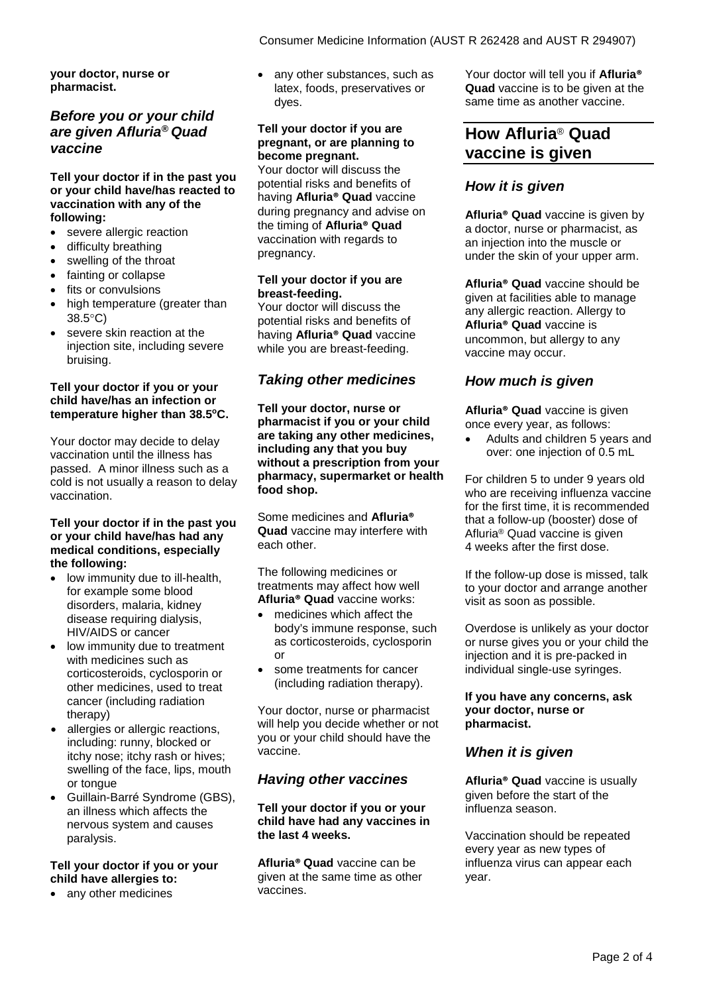**your doctor, nurse or pharmacist.**

## *Before you or your child are given Afluria® Quad vaccine*

#### **Tell your doctor if in the past you or your child have/has reacted to vaccination with any of the following:**

- severe allergic reaction
- difficulty breathing
- swelling of the throat
- fainting or collapse
- fits or convulsions
- high temperature (greater than 38.5°C)
- severe skin reaction at the injection site, including severe bruising.

#### **Tell your doctor if you or your child have/has an infection or temperature higher than 38.5oC.**

Your doctor may decide to delay vaccination until the illness has passed. A minor illness such as a cold is not usually a reason to delay vaccination.

#### **Tell your doctor if in the past you or your child have/has had any medical conditions, especially the following:**

- low immunity due to ill-health, for example some blood disorders, malaria, kidney disease requiring dialysis, HIV/AIDS or cancer
- low immunity due to treatment with medicines such as corticosteroids, cyclosporin or other medicines, used to treat cancer (including radiation therapy)
- allergies or allergic reactions, including: runny, blocked or itchy nose; itchy rash or hives; swelling of the face, lips, mouth or tongue
- Guillain-Barré Syndrome (GBS), an illness which affects the nervous system and causes paralysis.

## **Tell your doctor if you or your child have allergies to:**

• any other medicines

• any other substances, such as latex, foods, preservatives or dyes.

## **Tell your doctor if you are pregnant, or are planning to become pregnant.**

Your doctor will discuss the potential risks and benefits of having **Afluria® Quad** vaccine during pregnancy and advise on the timing of **Afluria® Quad**  vaccination with regards to pregnancy.

### **Tell your doctor if you are breast-feeding.**

Your doctor will discuss the potential risks and benefits of having **Afluria® Quad** vaccine while you are breast-feeding.

## *Taking other medicines*

**Tell your doctor, nurse or pharmacist if you or your child are taking any other medicines, including any that you buy without a prescription from your pharmacy, supermarket or health food shop.**

Some medicines and **Afluria® Quad** vaccine may interfere with each other.

The following medicines or treatments may affect how well **Afluria® Quad** vaccine works:

- medicines which affect the body's immune response, such as corticosteroids, cyclosporin or
- some treatments for cancer (including radiation therapy).

Your doctor, nurse or pharmacist will help you decide whether or not you or your child should have the vaccine.

## *Having other vaccines*

#### **Tell your doctor if you or your child have had any vaccines in the last 4 weeks.**

**Afluria® Quad** vaccine can be given at the same time as other vaccines.

Your doctor will tell you if **Afluria® Quad** vaccine is to be given at the same time as another vaccine.

# **How Afluria**® **Quad vaccine is given**

## *How it is given*

**Afluria® Quad** vaccine is given by a doctor, nurse or pharmacist, as an injection into the muscle or under the skin of your upper arm.

**Afluria® Quad** vaccine should be given at facilities able to manage any allergic reaction. Allergy to **Afluria® Quad** vaccine is uncommon, but allergy to any vaccine may occur.

## *How much is given*

**Afluria® Quad** vaccine is given once every year, as follows:

• Adults and children 5 years and over: one injection of 0.5 mL

For children 5 to under 9 years old who are receiving influenza vaccine for the first time, it is recommended that a follow-up (booster) dose of Afluria® Quad vaccine is given 4 weeks after the first dose.

If the follow-up dose is missed, talk to your doctor and arrange another visit as soon as possible.

Overdose is unlikely as your doctor or nurse gives you or your child the injection and it is pre-packed in individual single-use syringes.

#### **If you have any concerns, ask your doctor, nurse or pharmacist.**

## *When it is given*

**Afluria® Quad** vaccine is usually given before the start of the influenza season.

Vaccination should be repeated every year as new types of influenza virus can appear each year.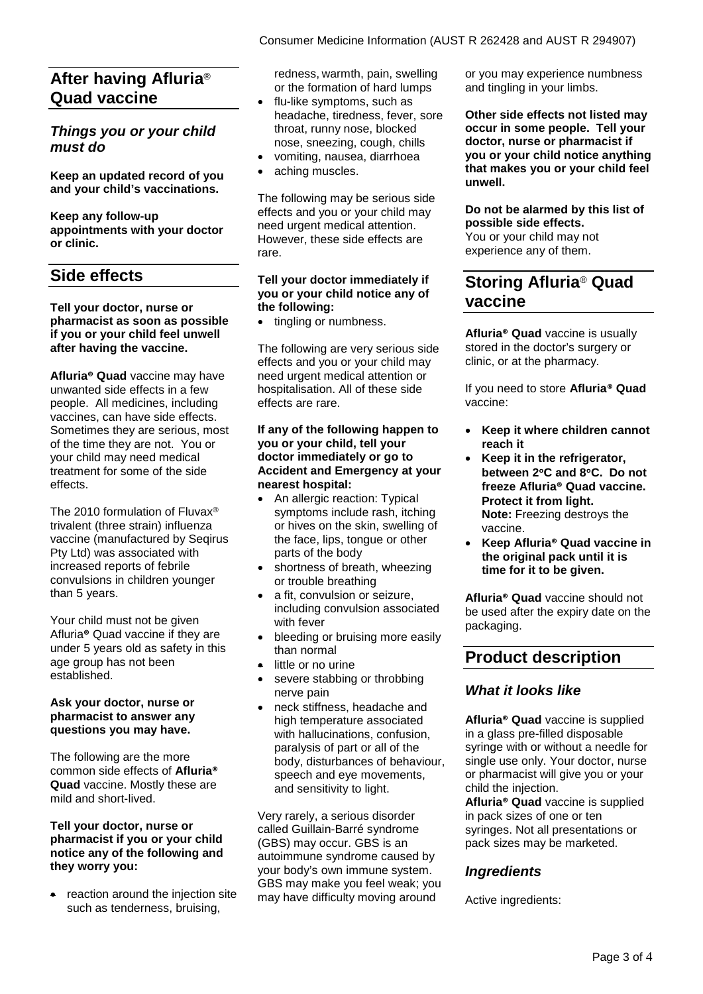# **After having Afluria**® **Quad vaccine**

## *Things you or your child must do*

**Keep an updated record of you and your child's vaccinations.**

**Keep any follow-up appointments with your doctor or clinic.**

## **Side effects**

#### **Tell your doctor, nurse or pharmacist as soon as possible if you or your child feel unwell after having the vaccine.**

**Afluria® Quad** vaccine may have unwanted side effects in a few people. All medicines, including vaccines, can have side effects. Sometimes they are serious, most of the time they are not. You or your child may need medical treatment for some of the side effects.

The 2010 formulation of Fluvax® trivalent (three strain) influenza vaccine (manufactured by Seqirus Pty Ltd) was associated with increased reports of febrile convulsions in children younger than 5 years.

Your child must not be given Afluria**®** Quad vaccine if they are under 5 years old as safety in this age group has not been established.

#### **Ask your doctor, nurse or pharmacist to answer any questions you may have.**

The following are the more common side effects of **Afluria® Quad** vaccine. Mostly these are mild and short-lived.

#### **Tell your doctor, nurse or pharmacist if you or your child notice any of the following and they worry you:**

reaction around the injection site such as tenderness, bruising,

redness, warmth, pain, swelling or the formation of hard lumps

- flu-like symptoms, such as headache, tiredness, fever, sore throat, runny nose, blocked nose, sneezing, cough, chills
- vomiting, nausea, diarrhoea
- aching muscles.

The following may be serious side effects and you or your child may need urgent medical attention. However, these side effects are rare.

#### **Tell your doctor immediately if you or your child notice any of the following:**

• tingling or numbness.

The following are very serious side effects and you or your child may need urgent medical attention or hospitalisation. All of these side effects are rare.

#### **If any of the following happen to you or your child, tell your doctor immediately or go to Accident and Emergency at your nearest hospital:**

- An allergic reaction: Typical symptoms include rash, itching or hives on the skin, swelling of the face, lips, tongue or other parts of the body
- shortness of breath, wheezing or trouble breathing
- a fit, convulsion or seizure, including convulsion associated with fever
- bleeding or bruising more easily than normal
- little or no urine
- severe stabbing or throbbing nerve pain
- neck stiffness, headache and high temperature associated with hallucinations, confusion, paralysis of part or all of the body, disturbances of behaviour, speech and eye movements, and sensitivity to light.

Very rarely, a serious disorder called Guillain-Barré syndrome (GBS) may occur. GBS is an autoimmune syndrome caused by your body's own immune system. GBS may make you feel weak; you may have difficulty moving around

or you may experience numbness and tingling in your limbs.

**Other side effects not listed may occur in some people. Tell your doctor, nurse or pharmacist if you or your child notice anything that makes you or your child feel unwell.**

**Do not be alarmed by this list of possible side effects.** You or your child may not experience any of them.

# **Storing Afluria**® **Quad vaccine**

**Afluria® Quad** vaccine is usually stored in the doctor's surgery or clinic, or at the pharmacy.

If you need to store **Afluria® Quad**  vaccine:

- **Keep it where children cannot reach it**
- **Keep it in the refrigerator, between 2**°**C and 8**°**C. Do not freeze Afluria® Quad vaccine. Protect it from light. Note:** Freezing destroys the vaccine.
- **Keep Afluria® Quad vaccine in the original pack until it is time for it to be given.**

**Afluria® Quad** vaccine should not be used after the expiry date on the packaging.

# **Product description**

## *What it looks like*

**Afluria® Quad** vaccine is supplied in a glass pre-filled disposable syringe with or without a needle for single use only. Your doctor, nurse or pharmacist will give you or your child the injection.

**Afluria® Quad** vaccine is supplied in pack sizes of one or ten syringes. Not all presentations or pack sizes may be marketed.

## *Ingredients*

Active ingredients: